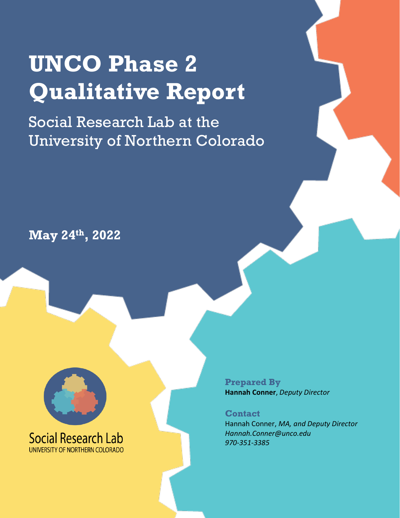# **UNCO Phase 2 Qualitative Report**

Social Research Lab at the University of Northern Colorado

## **May 24th , 2022**



**Prepared By Hannah Conner**, *Deputy Director* 

**Contact** Hannah Conner, *MA, and Deputy Director Hannah.Conner@unco.edu 970-351-3385*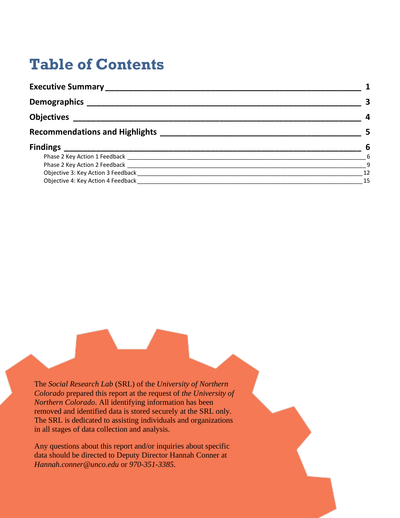## **Table of Contents**

| Executive Summary _____________       |             |
|---------------------------------------|-------------|
|                                       |             |
| <b>Objectives</b>                     | 4           |
| <b>Recommendations and Highlights</b> |             |
| <b>Findings</b>                       | 6           |
|                                       | $6^{\circ}$ |
|                                       | 9           |
| Objective 3: Key Action 3 Feedback    | 12          |
| Objective 4: Key Action 4 Feedback    | 15          |

The *Social Research Lab* (SRL) of the *University of Northern Colorado* prepared this report at the request of *the University of Northern Colorado*. All identifying information has been removed and identified data is stored securely at the SRL only. The SRL is dedicated to assisting individuals and organizations in all stages of data collection and analysis.

Any questions about this report and/or inquiries about specific data should be directed to Deputy Director Hannah Conner at *Hannah.conner@unco.edu* or *970-351-3385*.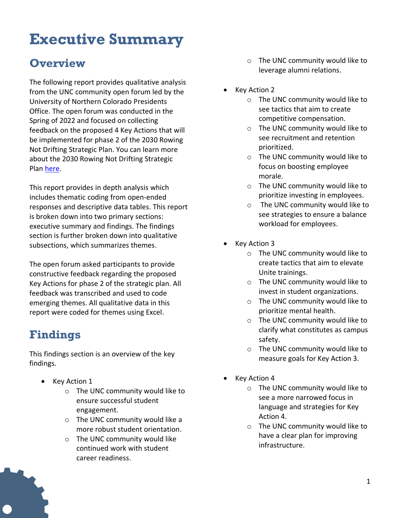## <span id="page-2-0"></span>**Executive Summary**

## **Overview**

The following report provides qualitative analysis from the UNC community open forum led by the University of Northern Colorado Presidents Office. The open forum was conducted in the Spring of 2022 and focused on collecting feedback on the proposed 4 Key Actions that will be implemented for phase 2 of the 2030 Rowing Not Drifting Strategic Plan. You can learn more about the 2030 Rowing Not Drifting Strategic Pla[n here.](https://www.unco.edu/strategic-plan/)

This report provides in depth analysis which includes thematic coding from open-ended responses and descriptive data tables. This report is broken down into two primary sections: executive summary and findings. The findings section is further broken down into qualitative subsections, which summarizes themes.

The open forum asked participants to provide constructive feedback regarding the proposed Key Actions for phase 2 of the strategic plan. All feedback was transcribed and used to code emerging themes. All qualitative data in this report were coded for themes using Excel.

## **Findings**

This findings section is an overview of the key findings.

- Key Action 1
	- o The UNC community would like to ensure successful student engagement.
	- o The UNC community would like a more robust student orientation.
	- o The UNC community would like continued work with student career readiness.
- o The UNC community would like to leverage alumni relations.
- **Key Action 2** 
	- o The UNC community would like to see tactics that aim to create competitive compensation.
	- o The UNC community would like to see recruitment and retention prioritized.
	- o The UNC community would like to focus on boosting employee morale.
	- o The UNC community would like to prioritize investing in employees.
	- o The UNC community would like to see strategies to ensure a balance workload for employees.
- Key Action 3
	- o The UNC community would like to create tactics that aim to elevate Unite trainings.
	- o The UNC community would like to invest in student organizations.
	- o The UNC community would like to prioritize mental health.
	- o The UNC community would like to clarify what constitutes as campus safety.
	- o The UNC community would like to measure goals for Key Action 3.
- Key Action 4
	- o The UNC community would like to see a more narrowed focus in language and strategies for Key Action 4.
	- o The UNC community would like to have a clear plan for improving infrastructure.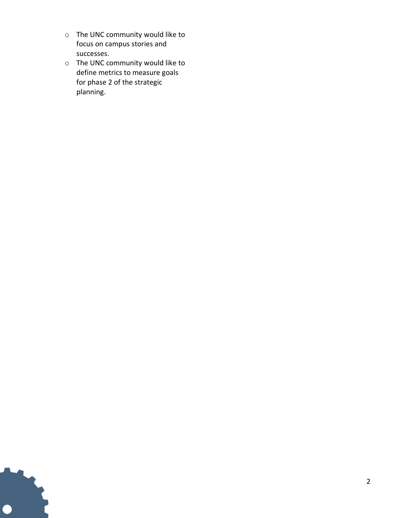- o The UNC community would like to focus on campus stories and successes.
- o The UNC community would like to define metrics to measure goals for phase 2 of the strategic planning.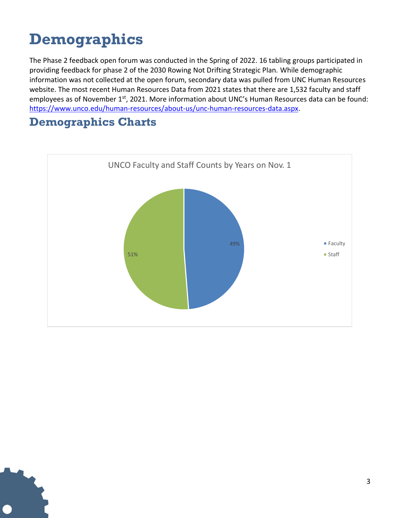## <span id="page-4-0"></span>**Demographics**

The Phase 2 feedback open forum was conducted in the Spring of 2022. 16 tabling groups participated in providing feedback for phase 2 of the 2030 Rowing Not Drifting Strategic Plan. While demographic information was not collected at the open forum, secondary data was pulled from UNC Human Resources website. The most recent Human Resources Data from 2021 states that there are 1,532 faculty and staff employees as of November 1<sup>st</sup>, 2021. More information about UNC's Human Resources data can be found: [https://www.unco.edu/human-resources/about-us/unc-human-resources-data.aspx.](https://www.unco.edu/human-resources/about-us/unc-human-resources-data.aspx)

### **Demographics Charts**

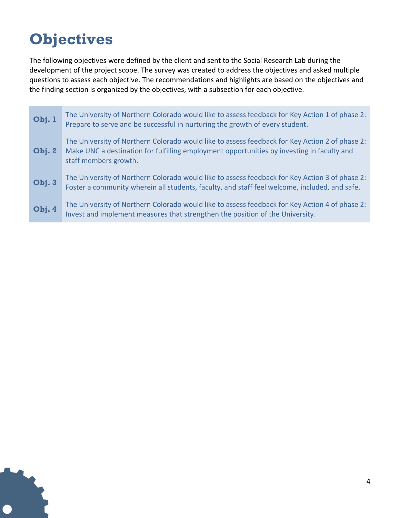## <span id="page-5-0"></span>**Objectives**

The following objectives were defined by the client and sent to the Social Research Lab during the development of the project scope. The survey was created to address the objectives and asked multiple questions to assess each objective. The recommendations and highlights are based on the objectives and the finding section is organized by the objectives, with a subsection for each objective.

| Obj. 1 | The University of Northern Colorado would like to assess feedback for Key Action 1 of phase 2:<br>Prepare to serve and be successful in nurturing the growth of every student.                                        |
|--------|-----------------------------------------------------------------------------------------------------------------------------------------------------------------------------------------------------------------------|
| Obj.2  | The University of Northern Colorado would like to assess feedback for Key Action 2 of phase 2:<br>Make UNC a destination for fulfilling employment opportunities by investing in faculty and<br>staff members growth. |
| Obj. 3 | The University of Northern Colorado would like to assess feedback for Key Action 3 of phase 2:<br>Foster a community wherein all students, faculty, and staff feel welcome, included, and safe.                       |
| Obj. 4 | The University of Northern Colorado would like to assess feedback for Key Action 4 of phase 2:<br>Invest and implement measures that strengthen the position of the University.                                       |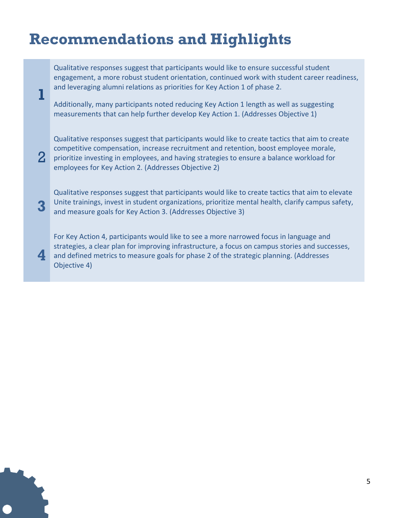## <span id="page-6-0"></span>**Recommendations and Highlights**

**1**

2

**4**

Qualitative responses suggest that participants would like to ensure successful student engagement, a more robust student orientation, continued work with student career readiness, and leveraging alumni relations as priorities for Key Action 1 of phase 2.

Additionally, many participants noted reducing Key Action 1 length as well as suggesting measurements that can help further develop Key Action 1. (Addresses Objective 1)

Qualitative responses suggest that participants would like to create tactics that aim to create competitive compensation, increase recruitment and retention, boost employee morale, prioritize investing in employees, and having strategies to ensure a balance workload for employees for Key Action 2. (Addresses Objective 2)

**3** Qualitative responses suggest that participants would like to create tactics that aim to elevate Unite trainings, invest in student organizations, prioritize mental health, clarify campus safety, and measure goals for Key Action 3. (Addresses Objective 3)

For Key Action 4, participants would like to see a more narrowed focus in language and strategies, a clear plan for improving infrastructure, a focus on campus stories and successes, and defined metrics to measure goals for phase 2 of the strategic planning. (Addresses Objective 4)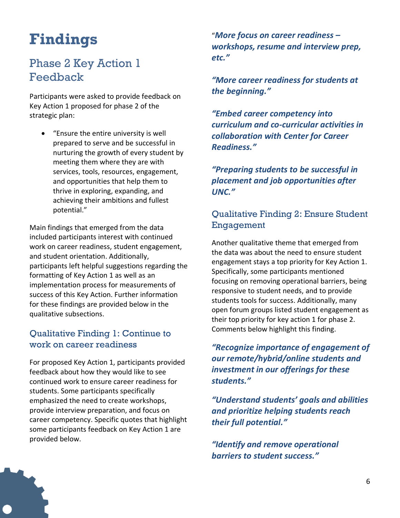## <span id="page-7-0"></span>**Findings**

## <span id="page-7-1"></span>Phase 2 Key Action 1 Feedback

Participants were asked to provide feedback on Key Action 1 proposed for phase 2 of the strategic plan:

• "Ensure the entire university is well prepared to serve and be successful in nurturing the growth of every student by meeting them where they are with services, tools, resources, engagement, and opportunities that help them to thrive in exploring, expanding, and achieving their ambitions and fullest potential."

Main findings that emerged from the data included participants interest with continued work on career readiness, student engagement, and student orientation. Additionally, participants left helpful suggestions regarding the formatting of Key Action 1 as well as an implementation process for measurements of success of this Key Action. Further information for these findings are provided below in the qualitative subsections.

#### Qualitative Finding 1: Continue to work on career readiness

For proposed Key Action 1, participants provided feedback about how they would like to see continued work to ensure career readiness for students. Some participants specifically emphasized the need to create workshops, provide interview preparation, and focus on career competency. Specific quotes that highlight some participants feedback on Key Action 1 are provided below.

"*More focus on career readiness – workshops, resume and interview prep, etc."*

*"More career readiness for students at the beginning."*

*"Embed career competency into curriculum and co-curricular activities in collaboration with Center for Career Readiness."*

*"Preparing students to be successful in placement and job opportunities after UNC."*

#### Qualitative Finding 2: Ensure Student Engagement

Another qualitative theme that emerged from the data was about the need to ensure student engagement stays a top priority for Key Action 1. Specifically, some participants mentioned focusing on removing operational barriers, being responsive to student needs, and to provide students tools for success. Additionally, many open forum groups listed student engagement as their top priority for key action 1 for phase 2. Comments below highlight this finding.

*"Recognize importance of engagement of our remote/hybrid/online students and investment in our offerings for these students."*

*"Understand students' goals and abilities and prioritize helping students reach their full potential."*

*"Identify and remove operational barriers to student success."*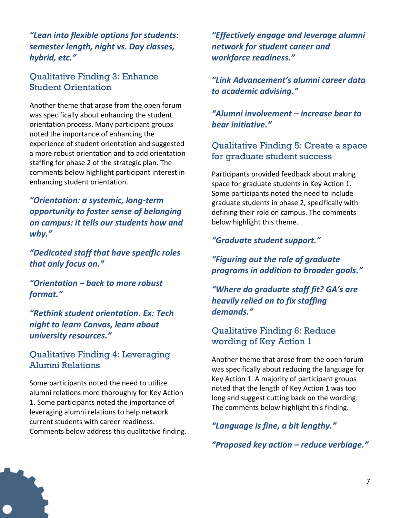*"Lean into flexible options for students: semester length, night vs. Day classes, hybrid, etc."*

#### Qualitative Finding 3: Enhance Student Orientation

Another theme that arose from the open forum was specifically about enhancing the student orientation process. Many participant groups noted the importance of enhancing the experience of student orientation and suggested a more robust orientation and to add orientation staffing for phase 2 of the strategic plan. The comments below highlight participant interest in enhancing student orientation.

*"Orientation: a systemic, long-term opportunity to foster sense of belonging on campus: it tells our students how and why."*

*"Dedicated staff that have specific roles that only focus on."* 

*"Orientation – back to more robust format."*

*"Rethink student orientation. Ex: Tech night to learn Canvas, learn about university resources."*

#### Qualitative Finding 4: Leveraging Alumni Relations

Some participants noted the need to utilize alumni relations more thoroughly for Key Action 1. Some participants noted the importance of leveraging alumni relations to help network current students with career readiness. Comments below address this qualitative finding. *"Effectively engage and leverage alumni network for student career and workforce readiness."*

*"Link Advancement's alumni career data to academic advising."*

*"Alumni involvement – increase bear to bear initiative."*

#### Qualitative Finding 5: Create a space for graduate student success

Participants provided feedback about making space for graduate students in Key Action 1. Some participants noted the need to include graduate students in phase 2, specifically with defining their role on campus. The comments below highlight this theme.

*"Graduate student support."* 

*"Figuring out the role of graduate programs in addition to broader goals."*

*"Where do graduate staff fit? GA's are heavily relied on to fix staffing demands."*

#### Qualitative Finding 6: Reduce wording of Key Action 1

Another theme that arose from the open forum was specifically about reducing the language for Key Action 1. A majority of participant groups noted that the length of Key Action 1 was too long and suggest cutting back on the wording. The comments below highlight this finding.

*"Language is fine, a bit lengthy."*

*"Proposed key action – reduce verbiage."*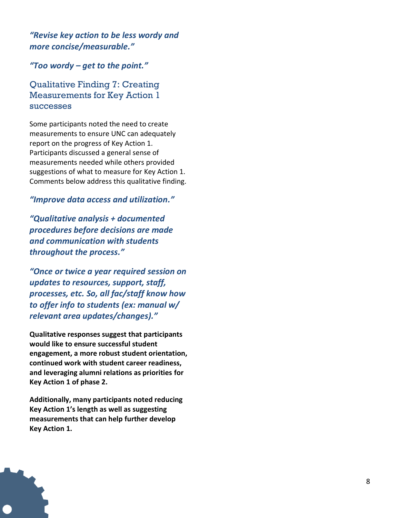*"Revise key action to be less wordy and more concise/measurable."*

*"Too wordy – get to the point."*

Qualitative Finding 7: Creating Measurements for Key Action 1 successes

Some participants noted the need to create measurements to ensure UNC can adequately report on the progress of Key Action 1. Participants discussed a general sense of measurements needed while others provided suggestions of what to measure for Key Action 1. Comments below address this qualitative finding.

#### *"Improve data access and utilization."*

*"Qualitative analysis + documented procedures before decisions are made and communication with students throughout the process."*

*"Once or twice a year required session on updates to resources, support, staff, processes, etc. So, all fac/staff know how to offer info to students (ex: manual w/ relevant area updates/changes)."*

**Qualitative responses suggest that participants would like to ensure successful student engagement, a more robust student orientation, continued work with student career readiness, and leveraging alumni relations as priorities for Key Action 1 of phase 2.** 

**Additionally, many participants noted reducing Key Action 1's length as well as suggesting measurements that can help further develop Key Action 1.**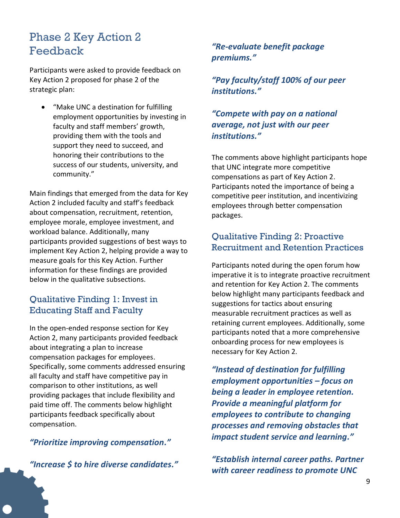### <span id="page-10-0"></span>Phase 2 Key Action 2 Feedback

Participants were asked to provide feedback on Key Action 2 proposed for phase 2 of the strategic plan:

• "Make UNC a destination for fulfilling employment opportunities by investing in faculty and staff members' growth, providing them with the tools and support they need to succeed, and honoring their contributions to the success of our students, university, and community."

Main findings that emerged from the data for Key Action 2 included faculty and staff's feedback about compensation, recruitment, retention, employee morale, employee investment, and workload balance. Additionally, many participants provided suggestions of best ways to implement Key Action 2, helping provide a way to measure goals for this Key Action. Further information for these findings are provided below in the qualitative subsections.

#### Qualitative Finding 1: Invest in Educating Staff and Faculty

In the open-ended response section for Key Action 2, many participants provided feedback about integrating a plan to increase compensation packages for employees. Specifically, some comments addressed ensuring all faculty and staff have competitive pay in comparison to other institutions, as well providing packages that include flexibility and paid time off. The comments below highlight participants feedback specifically about compensation.

#### *"Prioritize improving compensation."*

*"Increase \$ to hire diverse candidates."*

#### *"Re-evaluate benefit package premiums."*

*"Pay faculty/staff 100% of our peer institutions."*

#### *"Compete with pay on a national average, not just with our peer institutions."*

The comments above highlight participants hope that UNC integrate more competitive compensations as part of Key Action 2. Participants noted the importance of being a competitive peer institution, and incentivizing employees through better compensation packages.

#### Qualitative Finding 2: Proactive Recruitment and Retention Practices

Participants noted during the open forum how imperative it is to integrate proactive recruitment and retention for Key Action 2. The comments below highlight many participants feedback and suggestions for tactics about ensuring measurable recruitment practices as well as retaining current employees. Additionally, some participants noted that a more comprehensive onboarding process for new employees is necessary for Key Action 2.

*"Instead of destination for fulfilling employment opportunities – focus on being a leader in employee retention. Provide a meaningful platform for employees to contribute to changing processes and removing obstacles that impact student service and learning."*

*"Establish internal career paths. Partner with career readiness to promote UNC*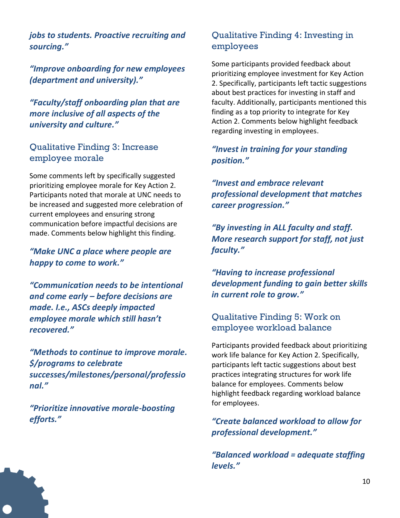*jobs to students. Proactive recruiting and sourcing."*

*"Improve onboarding for new employees (department and university)."*

*"Faculty/staff onboarding plan that are more inclusive of all aspects of the university and culture."*

#### Qualitative Finding 3: Increase employee morale

Some comments left by specifically suggested prioritizing employee morale for Key Action 2. Participants noted that morale at UNC needs to be increased and suggested more celebration of current employees and ensuring strong communication before impactful decisions are made. Comments below highlight this finding.

*"Make UNC a place where people are happy to come to work."*

*"Communication needs to be intentional and come early – before decisions are made. I.e., ASCs deeply impacted employee morale which still hasn't recovered."*

*"Methods to continue to improve morale. \$/programs to celebrate successes/milestones/personal/professio nal."*

*"Prioritize innovative morale-boosting efforts."*

#### Qualitative Finding 4: Investing in employees

Some participants provided feedback about prioritizing employee investment for Key Action 2. Specifically, participants left tactic suggestions about best practices for investing in staff and faculty. Additionally, participants mentioned this finding as a top priority to integrate for Key Action 2. Comments below highlight feedback regarding investing in employees.

#### *"Invest in training for your standing position."*

*"Invest and embrace relevant professional development that matches career progression."*

*"By investing in ALL faculty and staff. More research support for staff, not just faculty."*

*"Having to increase professional development funding to gain better skills in current role to grow."*

#### Qualitative Finding 5: Work on employee workload balance

Participants provided feedback about prioritizing work life balance for Key Action 2. Specifically, participants left tactic suggestions about best practices integrating structures for work life balance for employees. Comments below highlight feedback regarding workload balance for employees.

*"Create balanced workload to allow for professional development."*

*"Balanced workload = adequate staffing levels."*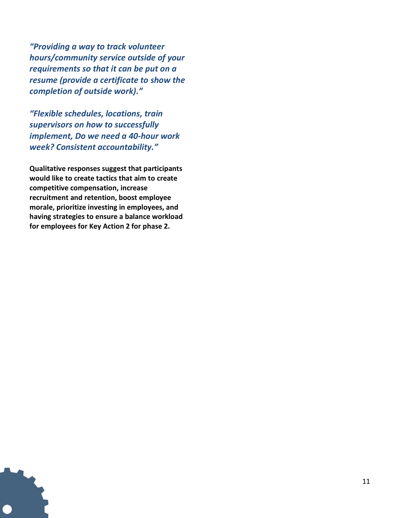*"Providing a way to track volunteer hours/community service outside of your requirements so that it can be put on a resume (provide a certificate to show the completion of outside work)."*

*"Flexible schedules, locations, train supervisors on how to successfully implement, Do we need a 40-hour work week? Consistent accountability."*

**Qualitative responses suggest that participants would like to create tactics that aim to create competitive compensation, increase recruitment and retention, boost employee morale, prioritize investing in employees, and having strategies to ensure a balance workload for employees for Key Action 2 for phase 2.**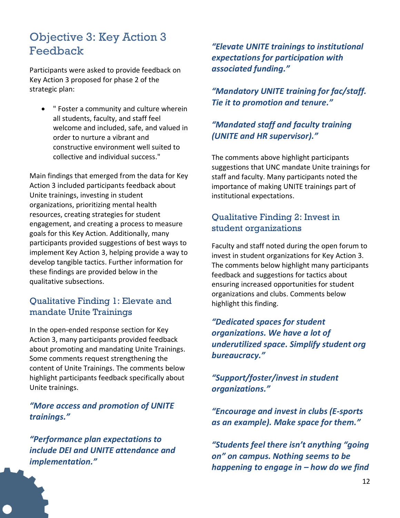### <span id="page-13-0"></span>Objective 3: Key Action 3 Feedback

Participants were asked to provide feedback on Key Action 3 proposed for phase 2 of the strategic plan:

• " Foster a community and culture wherein all students, faculty, and staff feel welcome and included, safe, and valued in order to nurture a vibrant and constructive environment well suited to collective and individual success."

Main findings that emerged from the data for Key Action 3 included participants feedback about Unite trainings, investing in student organizations, prioritizing mental health resources, creating strategies for student engagement, and creating a process to measure goals for this Key Action. Additionally, many participants provided suggestions of best ways to implement Key Action 3, helping provide a way to develop tangible tactics. Further information for these findings are provided below in the qualitative subsections.

#### Qualitative Finding 1: Elevate and mandate Unite Trainings

In the open-ended response section for Key Action 3, many participants provided feedback about promoting and mandating Unite Trainings. Some comments request strengthening the content of Unite Trainings. The comments below highlight participants feedback specifically about Unite trainings.

*"More access and promotion of UNITE trainings."*

*"Performance plan expectations to include DEI and UNITE attendance and implementation."*

*"Elevate UNITE trainings to institutional expectations for participation with associated funding."*

*"Mandatory UNITE training for fac/staff. Tie it to promotion and tenure."*

#### *"Mandated staff and faculty training (UNITE and HR supervisor)."*

The comments above highlight participants suggestions that UNC mandate Unite trainings for staff and faculty. Many participants noted the importance of making UNITE trainings part of institutional expectations.

#### Qualitative Finding 2: Invest in student organizations

Faculty and staff noted during the open forum to invest in student organizations for Key Action 3. The comments below highlight many participants feedback and suggestions for tactics about ensuring increased opportunities for student organizations and clubs. Comments below highlight this finding.

*"Dedicated spaces for student organizations. We have a lot of underutilized space. Simplify student org bureaucracy."*

#### *"Support/foster/invest in student organizations."*

*"Encourage and invest in clubs (E-sports as an example). Make space for them."*

*"Students feel there isn't anything "going on" on campus. Nothing seems to be happening to engage in – how do we find*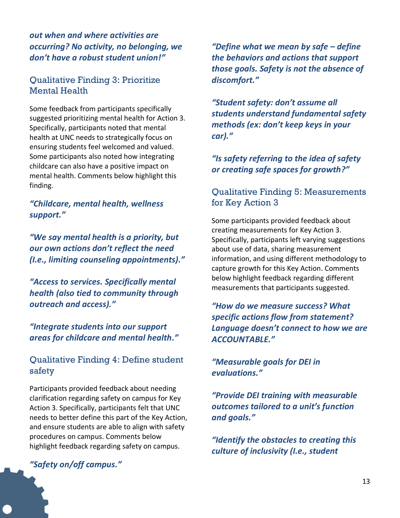*out when and where activities are occurring? No activity, no belonging, we don't have a robust student union!"*

#### Qualitative Finding 3: Prioritize Mental Health

Some feedback from participants specifically suggested prioritizing mental health for Action 3. Specifically, participants noted that mental health at UNC needs to strategically focus on ensuring students feel welcomed and valued. Some participants also noted how integrating childcare can also have a positive impact on mental health. Comments below highlight this finding.

#### *"Childcare, mental health, wellness support."*

*"We say mental health is a priority, but our own actions don't reflect the need (I.e., limiting counseling appointments)."*

*"Access to services. Specifically mental health (also tied to community through outreach and access)."*

*"Integrate students into our support areas for childcare and mental health."*

#### Qualitative Finding 4: Define student safety

Participants provided feedback about needing clarification regarding safety on campus for Key Action 3. Specifically, participants felt that UNC needs to better define this part of the Key Action, and ensure students are able to align with safety procedures on campus. Comments below highlight feedback regarding safety on campus.

*"Safety on/off campus."*

*"Define what we mean by safe – define the behaviors and actions that support those goals. Safety is not the absence of discomfort."*

*"Student safety: don't assume all students understand fundamental safety methods (ex: don't keep keys in your car)."*

*"Is safety referring to the idea of safety or creating safe spaces for growth?"*

#### Qualitative Finding 5: Measurements for Key Action 3

Some participants provided feedback about creating measurements for Key Action 3. Specifically, participants left varying suggestions about use of data, sharing measurement information, and using different methodology to capture growth for this Key Action. Comments below highlight feedback regarding different measurements that participants suggested.

*"How do we measure success? What specific actions flow from statement? Language doesn't connect to how we are ACCOUNTABLE."*

*"Measurable goals for DEI in evaluations."*

*"Provide DEI training with measurable outcomes tailored to a unit's function and goals."*

*"Identify the obstacles to creating this culture of inclusivity (I.e., student*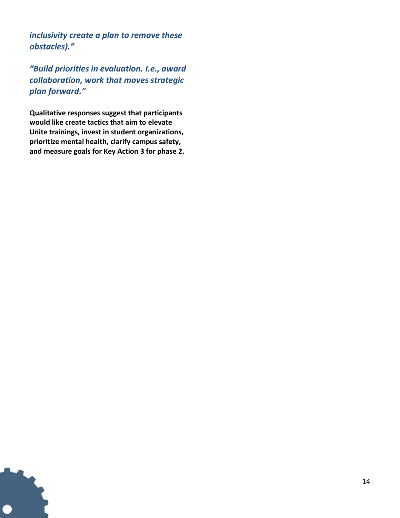*inclusivity create a plan to remove these obstacles)."*

*"Build priorities in evaluation. I.e., award collaboration, work that moves strategic plan forward."*

**Qualitative responses suggest that participants would like create tactics that aim to elevate Unite trainings, invest in student organizations, prioritize mental health, clarify campus safety, and measure goals for Key Action 3 for phase 2.**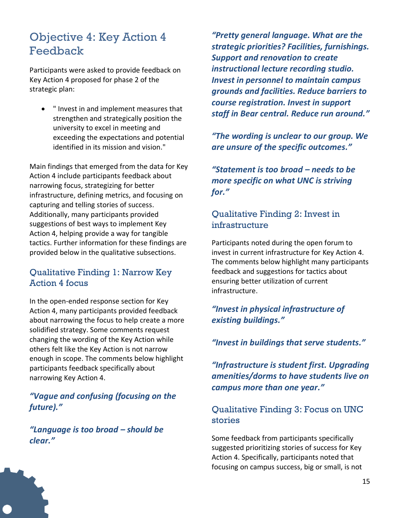### <span id="page-16-0"></span>Objective 4: Key Action 4 Feedback

Participants were asked to provide feedback on Key Action 4 proposed for phase 2 of the strategic plan:

• " Invest in and implement measures that strengthen and strategically position the university to excel in meeting and exceeding the expectations and potential identified in its mission and vision."

Main findings that emerged from the data for Key Action 4 include participants feedback about narrowing focus, strategizing for better infrastructure, defining metrics, and focusing on capturing and telling stories of success. Additionally, many participants provided suggestions of best ways to implement Key Action 4, helping provide a way for tangible tactics. Further information for these findings are provided below in the qualitative subsections.

#### Qualitative Finding 1: Narrow Key Action 4 focus

In the open-ended response section for Key Action 4, many participants provided feedback about narrowing the focus to help create a more solidified strategy. Some comments request changing the wording of the Key Action while others felt like the Key Action is not narrow enough in scope. The comments below highlight participants feedback specifically about narrowing Key Action 4.

*"Vague and confusing (focusing on the future)."*

*"Language is too broad – should be clear."*

*"Pretty general language. What are the strategic priorities? Facilities, furnishings. Support and renovation to create instructional lecture recording studio. Invest in personnel to maintain campus grounds and facilities. Reduce barriers to course registration. Invest in support staff in Bear central. Reduce run around."*

*"The wording is unclear to our group. We are unsure of the specific outcomes."*

*"Statement is too broad – needs to be more specific on what UNC is striving for."*

#### Qualitative Finding 2: Invest in infrastructure

Participants noted during the open forum to invest in current infrastructure for Key Action 4. The comments below highlight many participants feedback and suggestions for tactics about ensuring better utilization of current infrastructure.

*"Invest in physical infrastructure of existing buildings."*

*"Invest in buildings that serve students."*

*"Infrastructure is student first. Upgrading amenities/dorms to have students live on campus more than one year."*

#### Qualitative Finding 3: Focus on UNC stories

Some feedback from participants specifically suggested prioritizing stories of success for Key Action 4. Specifically, participants noted that focusing on campus success, big or small, is not